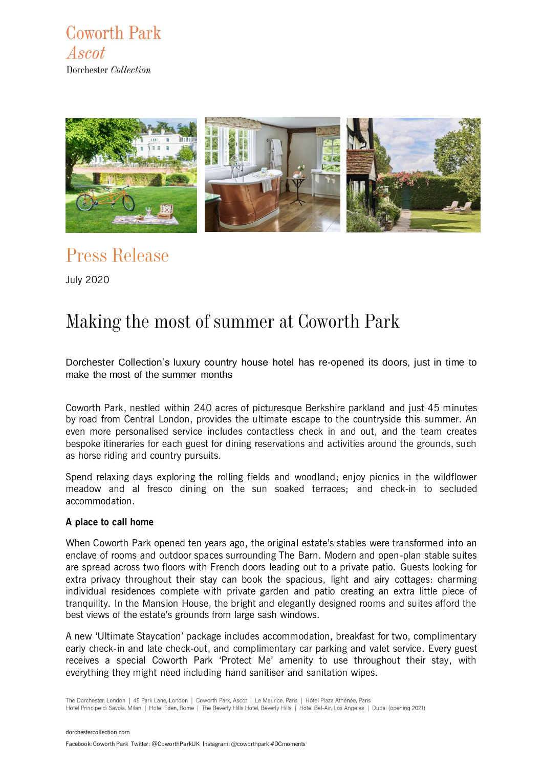**Coworth Park** Ascot Dorchester Collection



Press Release

July 2020

# Making the most of summer at Coworth Park

Dorchester Collection's luxury country house hotel has re-opened its doors, just in time to make the most of the summer months

Coworth Park, nestled within 240 acres of picturesque Berkshire parkland and just 45 minutes by road from Central London, provides the ultimate escape to the countryside this summer. An even more personalised service includes contactless check in and out, and the team creates bespoke itineraries for each guest for dining reservations and activities around the grounds, such as horse riding and country pursuits.

Spend relaxing days exploring the rolling fields and woodland; enjoy picnics in the wildflower meadow and al fresco dining on the sun soaked terraces; and check-in to secluded accommodation.

#### **A place to call home**

When Coworth Park opened ten years ago, the original estate's stables were transformed into an enclave of rooms and outdoor spaces surrounding The Barn. Modern and open-plan stable suites are spread across two floors with French doors leading out to a private patio. Guests looking for extra privacy throughout their stay can book the spacious, light and airy cottages: charming individual residences complete with private garden and patio creating an extra little piece of tranquility. In the Mansion House, the bright and elegantly designed rooms and suites afford the best views of the estate's grounds from large sash windows.

A new 'Ultimate Staycation' package includes accommodation, breakfast for two, complimentary early check-in and late check-out, and complimentary car parking and valet service. Every guest receives a special Coworth Park 'Protect Me' amenity to use throughout their stay, with everything they might need including hand sanitiser and sanitation wipes.

The Dorchester, London | 45 Park Lane, London | Coworth Park, Ascot | Le Meurice, Paris | Hôtel Plaza Athénée, Paris Hotel Principe di Savoia, Milan | Hotel Eden, Rome | The Beverly Hills Hotel, Beverly Hills | Hotel Bel-Air, Los Angeles | Dubai (opening 2021)

[dorchestercollection.com](http://www.dorchestercollection.com/)

Facebook: Coworth Park Twitter: @CoworthParkUKInstagram: @coworthpark #DCmoments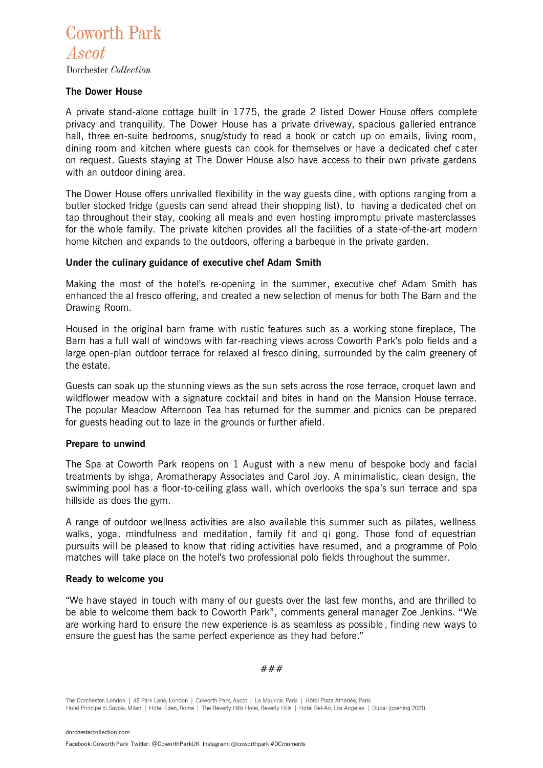**Coworth Park** Ascot Dorchester Collection

### **The Dower House**

A private stand-alone cottage built in 1775, the grade 2 listed Dower House offers complete privacy and tranquility. The Dower House has a private driveway, spacious galleried entrance hall, three en-suite bedrooms, snug/study to read a book or catch up on emails, living room, dining room and kitchen where guests can cook for themselves or have a dedicated chef c ater on request. Guests staying at The Dower House also have access to their own private gardens with an outdoor dining area.

The Dower House offers unrivalled flexibility in the way guests dine, with options ranging from a butler stocked fridge (guests can send ahead their shopping list), to having a dedicated chef on tap throughout their stay, cooking all meals and even hosting impromptu private masterclasses for the whole family. The private kitchen provides all the facilities of a state-of-the-art modern home kitchen and expands to the outdoors, offering a barbeque in the private garden.

### **Under the culinary guidance of executive chef Adam Smith**

Making the most of the hotel's re-opening in the summer, executive chef Adam Smith has enhanced the al fresco offering, and created a new selection of menus for both The Barn and the Drawing Room.

Housed in the original barn frame with rustic features such as a working stone fireplace, The Barn has a full wall of windows with far-reaching views across Coworth Park's polo fields and a large open-plan outdoor terrace for relaxed al fresco dining, surrounded by the calm greenery of the estate.

Guests can soak up the stunning views as the sun sets across the rose terrace, croquet lawn and wildflower meadow with a signature cocktail and bites in hand on the Mansion House terrace. The popular Meadow Afternoon Tea has returned for the summer and picnics can be prepared for guests heading out to laze in the grounds or further afield.

#### **Prepare to unwind**

The Spa at Coworth Park reopens on 1 August with a new menu of bespoke body and facial treatments by ishga, Aromatherapy Associates and Carol Joy. A minimalistic, clean design, the swimming pool has a floor-to-ceiling glass wall, which overlooks the spa's sun terrace and spa hillside as does the gym.

A range of outdoor wellness activities are also available this summer such as pilates, wellness walks, yoga, mindfulness and meditation, family fit and qi gong. Those fond of equestrian pursuits will be pleased to know that riding activities have resumed, and a programme of Polo matches will take place on the hotel's two professional polo fields throughout the summer.

#### **Ready to welcome you**

"We have stayed in touch with many of our guests over the last few months, and are thrilled to be able to welcome them back to Coworth Park", comments general manager Zoe Jenkins. "We are working hard to ensure the new experience is as seamless as possible , finding new ways to ensure the guest has the same perfect experience as they had before."

###

The Dorchester, London | 45 Park Lane, London | Coworth Park, Ascot | Le Meurice, Paris | Hôtel Plaza Athénée, Paris Hotel Principe di Savoia, Milan | Hotel Eden, Rome | The Beverly Hills Hotel, Beverly Hills | Hotel Bel-Air, Los Angeles | Dubai (opening 2021)